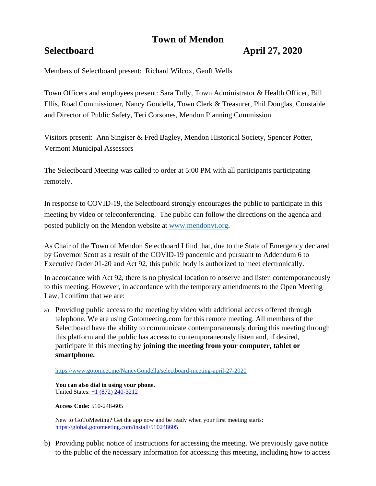# **Town of Mendon**

## **Selectboard April 27, 2020**

Members of Selectboard present: Richard Wilcox, Geoff Wells

Town Officers and employees present: Sara Tully, Town Administrator & Health Officer, Bill Ellis, Road Commissioner, Nancy Gondella, Town Clerk & Treasurer, Phil Douglas, Constable and Director of Public Safety, Teri Corsones, Mendon Planning Commission

Visitors present: Ann Singiser & Fred Bagley, Mendon Historical Society, Spencer Potter, Vermont Municipal Assessors

The Selectboard Meeting was called to order at 5:00 PM with all participants participating remotely.

In response to COVID-19, the Selectboard strongly encourages the public to participate in this meeting by video or teleconferencing. The public can follow the directions on the agenda and posted publicly on the Mendon website at [www.mendonvt.org.](http://www.mendonvt.org/)

As Chair of the Town of Mendon Selectboard I find that, due to the State of Emergency declared by Governor Scott as a result of the COVID-19 pandemic and pursuant to Addendum 6 to Executive Order 01-20 and Act 92, this public body is authorized to meet electronically.

In accordance with Act 92, there is no physical location to observe and listen contemporaneously to this meeting. However, in accordance with the temporary amendments to the Open Meeting Law, I confirm that we are:

a) Providing public access to the meeting by video with additional access offered through telephone. We are using Gotomeeting.com for this remote meeting. All members of the Selectboard have the ability to communicate contemporaneously during this meeting through this platform and the public has access to contemporaneously listen and, if desired, participate in this meeting by **joining the meeting from your computer, tablet or smartphone.** 

<https://www.gotomeet.me/NancyGondella/selectboard-meeting-april-27-2020>

**You can also dial in using your phone.**  United States: [+1 \(872\) 240-3212](tel:+18722403212,,510248605)

**Access Code:** 510-248-605

New to GoToMeeting? Get the app now and be ready when your first meeting starts: <https://global.gotomeeting.com/install/510248605>

b) Providing public notice of instructions for accessing the meeting. We previously gave notice to the public of the necessary information for accessing this meeting, including how to access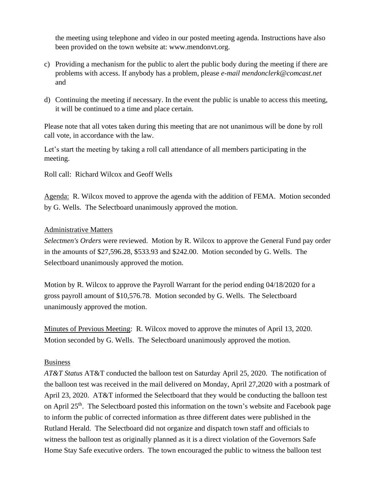the meeting using telephone and video in our posted meeting agenda. Instructions have also been provided on the town website at: www.mendonvt.org.

- c) Providing a mechanism for the public to alert the public body during the meeting if there are problems with access. If anybody has a problem, please *e-mail mendonclerk@comcast.net* and
- d) Continuing the meeting if necessary. In the event the public is unable to access this meeting, it will be continued to a time and place certain.

Please note that all votes taken during this meeting that are not unanimous will be done by roll call vote, in accordance with the law.

Let's start the meeting by taking a roll call attendance of all members participating in the meeting.

Roll call: Richard Wilcox and Geoff Wells

Agenda: R. Wilcox moved to approve the agenda with the addition of FEMA. Motion seconded by G. Wells. The Selectboard unanimously approved the motion.

## Administrative Matters

*Selectmen's Orders* were reviewed. Motion by R. Wilcox to approve the General Fund pay order in the amounts of \$27,596.28, \$533.93 and \$242.00. Motion seconded by G. Wells. The Selectboard unanimously approved the motion.

Motion by R. Wilcox to approve the Payroll Warrant for the period ending 04/18/2020 for a gross payroll amount of \$10,576.78. Motion seconded by G. Wells. The Selectboard unanimously approved the motion.

Minutes of Previous Meeting: R. Wilcox moved to approve the minutes of April 13, 2020. Motion seconded by G. Wells. The Selectboard unanimously approved the motion.

### Business

*AT&T Status* AT&T conducted the balloon test on Saturday April 25, 2020. The notification of the balloon test was received in the mail delivered on Monday, April 27,2020 with a postmark of April 23, 2020. AT&T informed the Selectboard that they would be conducting the balloon test on April 25<sup>th</sup>. The Selectboard posted this information on the town's website and Facebook page to inform the public of corrected information as three different dates were published in the Rutland Herald. The Selectboard did not organize and dispatch town staff and officials to witness the balloon test as originally planned as it is a direct violation of the Governors Safe Home Stay Safe executive orders. The town encouraged the public to witness the balloon test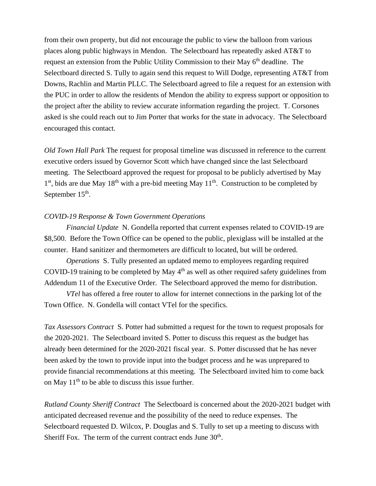from their own property, but did not encourage the public to view the balloon from various places along public highways in Mendon. The Selectboard has repeatedly asked AT&T to request an extension from the Public Utility Commission to their May 6<sup>th</sup> deadline. The Selectboard directed S. Tully to again send this request to Will Dodge, representing AT&T from Downs, Rachlin and Martin PLLC. The Selectboard agreed to file a request for an extension with the PUC in order to allow the residents of Mendon the ability to express support or opposition to the project after the ability to review accurate information regarding the project. T. Corsones asked is she could reach out to Jim Porter that works for the state in advocacy. The Selectboard encouraged this contact.

*Old Town Hall Park* The request for proposal timeline was discussed in reference to the current executive orders issued by Governor Scott which have changed since the last Selectboard meeting. The Selectboard approved the request for proposal to be publicly advertised by May 1<sup>st</sup>, bids are due May 18<sup>th</sup> with a pre-bid meeting May 11<sup>th</sup>. Construction to be completed by September  $15<sup>th</sup>$ .

#### *COVID-19 Response & Town Government Operations*

*Financial Update* N. Gondella reported that current expenses related to COVID-19 are \$8,500. Before the Town Office can be opened to the public, plexiglass will be installed at the counter. Hand sanitizer and thermometers are difficult to located, but will be ordered.

*Operations* S. Tully presented an updated memo to employees regarding required COVID-19 training to be completed by May  $4<sup>th</sup>$  as well as other required safety guidelines from Addendum 11 of the Executive Order. The Selectboard approved the memo for distribution.

*VTel* has offered a free router to allow for internet connections in the parking lot of the Town Office. N. Gondella will contact VTel for the specifics.

*Tax Assessors Contract* S. Potter had submitted a request for the town to request proposals for the 2020-2021. The Selectboard invited S. Potter to discuss this request as the budget has already been determined for the 2020-2021 fiscal year. S. Potter discussed that he has never been asked by the town to provide input into the budget process and he was unprepared to provide financial recommendations at this meeting. The Selectboard invited him to come back on May  $11<sup>th</sup>$  to be able to discuss this issue further.

*Rutland County Sheriff Contract* The Selectboard is concerned about the 2020-2021 budget with anticipated decreased revenue and the possibility of the need to reduce expenses. The Selectboard requested D. Wilcox, P. Douglas and S. Tully to set up a meeting to discuss with Sheriff Fox. The term of the current contract ends June  $30<sup>th</sup>$ .